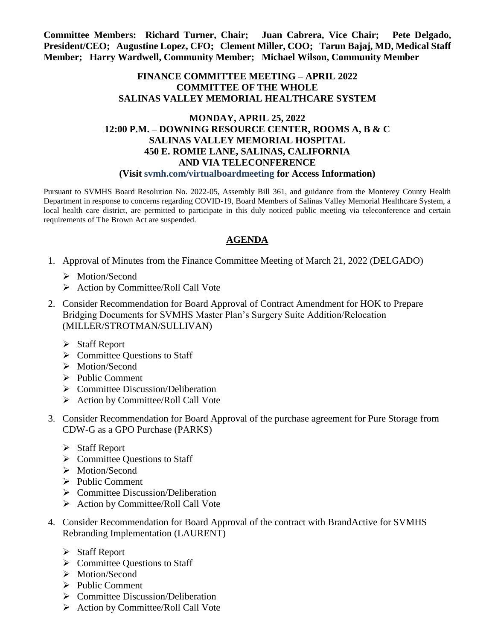**Committee Members: Richard Turner, Chair; Juan Cabrera, Vice Chair; Pete Delgado, President/CEO; Augustine Lopez, CFO; Clement Miller, COO; Tarun Bajaj, MD, Medical Staff Member; Harry Wardwell, Community Member; Michael Wilson, Community Member**

## **FINANCE COMMITTEE MEETING – APRIL 2022 COMMITTEE OF THE WHOLE SALINAS VALLEY MEMORIAL HEALTHCARE SYSTEM**

## **MONDAY, APRIL 25, 2022 12:00 P.M. – DOWNING RESOURCE CENTER, ROOMS A, B & C SALINAS VALLEY MEMORIAL HOSPITAL 450 E. ROMIE LANE, SALINAS, CALIFORNIA AND VIA TELECONFERENCE (Visit svmh.com/virtualboardmeeting for Access Information)**

Pursuant to SVMHS Board Resolution No. 2022-05, Assembly Bill 361, and guidance from the Monterey County Health Department in response to concerns regarding COVID-19, Board Members of Salinas Valley Memorial Healthcare System, a local health care district, are permitted to participate in this duly noticed public meeting via teleconference and certain requirements of The Brown Act are suspended.

## **AGENDA**

- 1. Approval of Minutes from the Finance Committee Meeting of March 21, 2022 (DELGADO)
	- > Motion/Second
	- ▶ Action by Committee/Roll Call Vote
- 2. Consider Recommendation for Board Approval of Contract Amendment for HOK to Prepare Bridging Documents for SVMHS Master Plan's Surgery Suite Addition/Relocation (MILLER/STROTMAN/SULLIVAN)
	- $\triangleright$  Staff Report
	- $\triangleright$  Committee Questions to Staff
	- > Motion/Second
	- $\triangleright$  Public Comment
	- $\triangleright$  Committee Discussion/Deliberation
	- $\triangleright$  Action by Committee/Roll Call Vote
- 3. Consider Recommendation for Board Approval of the purchase agreement for Pure Storage from CDW-G as a GPO Purchase (PARKS)
	- $\triangleright$  Staff Report
	- $\triangleright$  Committee Questions to Staff
	- > Motion/Second
	- $\triangleright$  Public Comment
	- $\triangleright$  Committee Discussion/Deliberation
	- $\triangleright$  Action by Committee/Roll Call Vote
- 4. Consider Recommendation for Board Approval of the contract with BrandActive for SVMHS Rebranding Implementation (LAURENT)
	- $\triangleright$  Staff Report
	- $\triangleright$  Committee Ouestions to Staff
	- > Motion/Second
	- $\triangleright$  Public Comment
	- $\triangleright$  Committee Discussion/Deliberation
	- $\triangleright$  Action by Committee/Roll Call Vote